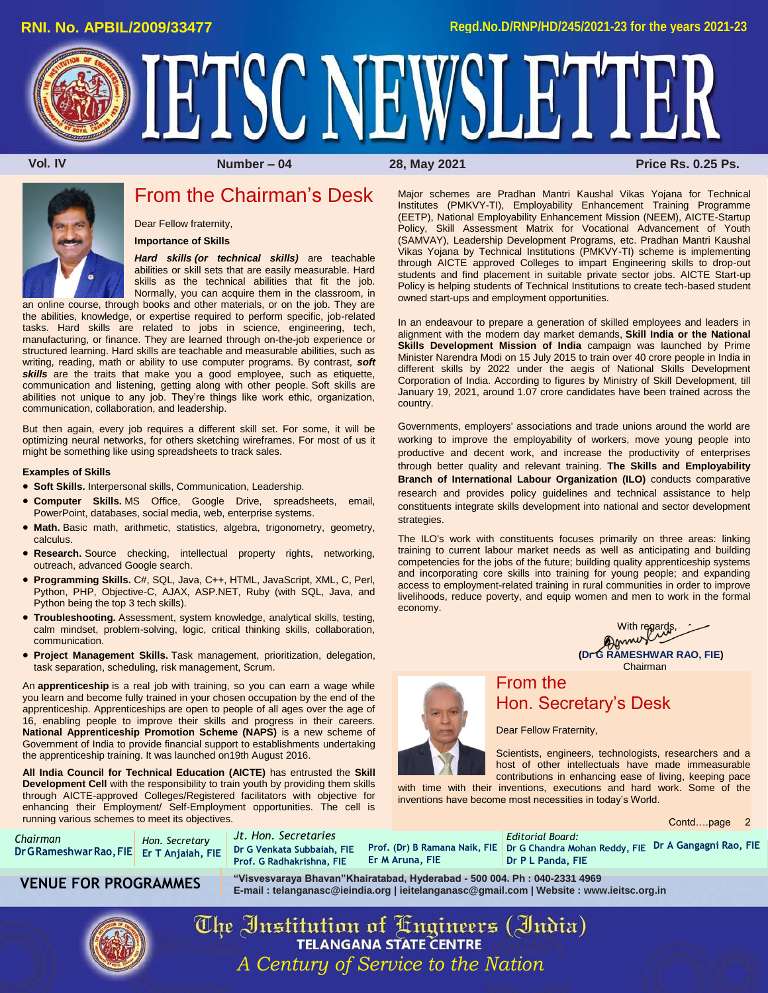Major schemes are Pradhan Mantri Kaushal Vikas Yojana for Technical Institutes (PMKVY-TI), Employability Enhancement Training Programme (EETP), National Employability Enhancement Mission (NEEM), AICTE-Startup Policy, Skill Assessment Matrix for Vocational Advancement of Youth (SAMVAY), Leadership Development Programs, etc. Pradhan Mantri Kaushal Vikas Yojana by Technical Institutions (PMKVY-TI) scheme is implementing through AICTE approved Colleges to impart Engineering skills to drop-out students and find placement in suitable private sector jobs. AICTE Start-up Policy is helping students of Technical Institutions to create tech-based student

In an endeavour to prepare a generation of skilled employees and leaders in alignment with the modern day market demands, **Skill India or the National Skills Development Mission of India** campaign was launched by Prime Minister Narendra Modi on 15 July 2015 to train over 40 crore people in India in different skills by 2022 under the aegis of National Skills Development Corporation of India. According to figures by Ministry of Skill Development, till January 19, 2021, around 1.07 crore candidates have been trained across the

Governments, employers' associations and trade unions around the world are working to improve the employability of workers, move young people into productive and decent work, and increase the productivity of enterprises through better quality and relevant training. **The Skills and Employability Branch of International Labour Organization (ILO)** conducts comparative research and provides policy guidelines and technical assistance to help constituents integrate skills development into national and sector development

The ILO's work with constituents focuses primarily on three areas: linking training to current labour market needs as well as anticipating and building competencies for the jobs of the future; building quality apprenticeship systems and incorporating core skills into training for young people; and expanding access to employment-related training in rural communities in order to improve livelihoods, reduce poverty, and equip women and men to work in the formal

owned start-ups and employment opportunities.

IETSC NEWSLETTER

country.

strategies.

economy.

 **12. IV COLL IV CONTERNATION CONTRACT AND MUMBER – 04** 28, May 2021 **Price Rs. 0.25 Ps.** 



# From the Chairman's Desk

Dear Fellow fraternity,

**Importance of Skills**

*Hard skills (or technical skills)* are teachable abilities or skill sets that are easily measurable. Hard skills as the technical abilities that fit the job. Normally, you can acquire them in the classroom, in

an online course, through books and other materials, or on the job. They are the abilities, knowledge, or expertise required to perform specific, job-related tasks. Hard skills are related to jobs in science, engineering, tech, manufacturing, or finance. They are learned through on-the-job experience or structured learning. Hard skills are teachable and measurable abilities, such as writing, reading, math or ability to use computer programs. By contrast, *soft*  **skills** are the traits that make you a good employee, such as etiquette, communication and listening, getting along with other people. Soft skills are abilities not unique to any job. They're things like work ethic, organization, communication, collaboration, and leadership.

But then again, every job requires a different skill set. For some, it will be optimizing neural networks, for others sketching wireframes. For most of us it might be something like using spreadsheets to track sales.

#### **Examples of Skills**

- **Soft Skills.** Interpersonal skills, Communication, Leadership.
- **Computer Skills.** MS Office, Google Drive, spreadsheets, email, PowerPoint, databases, social media, web, enterprise systems.
- **Math.** Basic math, arithmetic, statistics, algebra, trigonometry, geometry, calculus.
- **Research.** Source checking, intellectual property rights, networking, outreach, advanced Google search.
- **Programming Skills.** C#, SQL, Java, C++, HTML, JavaScript, XML, C, Perl, Python, PHP, Objective-C, AJAX, ASP.NET, Ruby (with SQL, Java, and Python being the top 3 tech skills).
- **Troubleshooting.** Assessment, system knowledge, analytical skills, testing, calm mindset, problem-solving, logic, critical thinking skills, collaboration, communication.
- **Project Management Skills.** Task management, prioritization, delegation, task separation, scheduling, risk management, Scrum.

An **apprenticeship** is a real job with training, so you can earn a wage while you learn and become fully trained in your chosen occupation by the end of the apprenticeship. Apprenticeships are open to people of all ages over the age of 16, enabling people to improve their skills and progress in their careers. **National Apprenticeship Promotion Scheme (NAPS)** is a new scheme of Government of India to provide financial support to establishments undertaking the apprenticeship training. It was launched on19th August 2016.

**All India Council for Technical Education (AICTE)** has entrusted the **Skill Development Cell** with the responsibility to train youth by providing them skills through AICTE-approved Colleges/Registered facilitators with objective for enhancing their Employment/ Self-Employment opportunities. The cell is running various schemes to meet its objectives.

| Chairman                                  | Hon. Secretary |  |
|-------------------------------------------|----------------|--|
| Dr G Rameshwar Rao, FIE Er T Anjaiah, FIE |                |  |

*Jt. Hon. Secretaries* **Dr G Venkata Subbaiah, FIE Prof. G Radhakrishna, FIE Er M Aruna, FIE**

**Prof. (Dr) B Ramana Naik, FIE Dr G Chandra Mohan Reddy, FIE Dr A Gangagni Rao, FIE** *Editorial Board:* **Dr P L Panda, FIE**

**VENUE FOR PROGRAMMES "Visvesvaraya Bhavan"Khairatabad, Hyderabad - 500 004. Ph : 040-2331 4969 E-mail [: telanganasc@ieindia.org |](mailto:telanganasc@ieindia.org) [ieitelanganasc@gmail.com |](mailto:ieitelanganasc@gmail.com) Website [: www.ieitsc.org.in](http://www.ieitsc.org.in/)**



The Institution of Engineers (India) **TELANGANA STATE CENTRE** *A Century of Service to the Nation*



## From the Hon. Secretary's Desk

Dear Fellow Fraternity,

Scientists, engineers, technologists, researchers and a host of other intellectuals have made immeasurable contributions in enhancing ease of living, keeping pace

With regards, **(Dr G RAMESHWAR RAO, FIE)** Chairman

with time with their inventions, executions and hard work. Some of the inventions have become most necessities in today's World.

Contd….page 2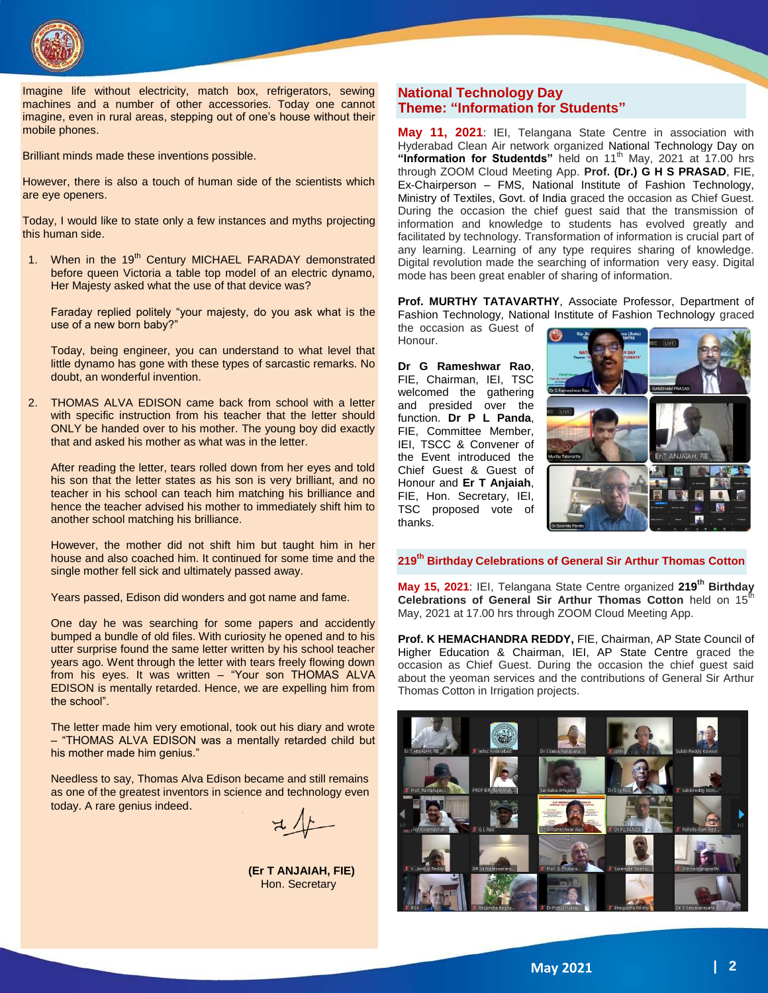

Imagine life without electricity, match box, refrigerators, sewing machines and a number of other accessories. Today one cannot imagine, even in rural areas, stepping out of one's house without their mobile phones.

Brilliant minds made these inventions possible.

However, there is also a touch of human side of the scientists which are eye openers.

Today, I would like to state only a few instances and myths projecting this human side.

1. When in the 19<sup>th</sup> Century MICHAEL FARADAY demonstrated before queen Victoria a table top model of an electric dynamo, Her Majesty asked what the use of that device was?

Faraday replied politely "your majesty, do you ask what is the use of a new born baby?"

Today, being engineer, you can understand to what level that little dynamo has gone with these types of sarcastic remarks. No doubt, an wonderful invention.

2. THOMAS ALVA EDISON came back from school with a letter with specific instruction from his teacher that the letter should ONLY be handed over to his mother. The young boy did exactly that and asked his mother as what was in the letter.

After reading the letter, tears rolled down from her eyes and told his son that the letter states as his son is very brilliant, and no teacher in his school can teach him matching his brilliance and hence the teacher advised his mother to immediately shift him to another school matching his brilliance.

However, the mother did not shift him but taught him in her house and also coached him. It continued for some time and the single mother fell sick and ultimately passed away.

Years passed, Edison did wonders and got name and fame.

One day he was searching for some papers and accidently bumped a bundle of old files. With curiosity he opened and to his utter surprise found the same letter written by his school teacher years ago. Went through the letter with tears freely flowing down from his eyes. It was written - "Your son THOMAS ALVA EDISON is mentally retarded. Hence, we are expelling him from the school".

The letter made him very emotional, took out his diary and wrote – "THOMAS ALVA EDISON was a mentally retarded child but his mother made him genius."

Needless to say, Thomas Alva Edison became and still remains as one of the greatest inventors in science and technology even today. A rare genius indeed.

**(Er T ANJAIAH, FIE)** Hon. Secretary

## **National Technology Day Theme: "Information for Students"**

**May 11, 2021**: IEI, Telangana State Centre in association with Hyderabad Clean Air network organized National Technology Day on **"Information for Studentds"** held on 11th May, 2021 at 17.00 hrs through ZOOM Cloud Meeting App. **Prof. (Dr.) G H S PRASAD**, FIE, Ex-Chairperson – FMS, National Institute of Fashion Technology, Ministry of Textiles, Govt. of India graced the occasion as Chief Guest. During the occasion the chief guest said that the transmission of information and knowledge to students has evolved greatly and facilitated by technology. Transformation of information is crucial part of any learning. Learning of any type requires sharing of knowledge. Digital revolution made the searching of information very easy. Digital mode has been great enabler of sharing of information.

**Prof. MURTHY TATAVARTHY**, Associate Professor, Department of Fashion Technology, National Institute of Fashion Technology graced the occasion as Guest of

Honour.

**Dr G Rameshwar Rao**, FIE, Chairman, IEI, TSC welcomed the gathering and presided over the function. **Dr P L Panda**, FIE, Committee Member, IEI, TSCC & Convener of the Event introduced the Chief Guest & Guest of Honour and **Er T Anjaiah**, FIE, Hon. Secretary, IEI, TSC proposed vote of thanks.



#### **219th Birthday Celebrations of General Sir Arthur Thomas Cotton**

**May 15, 2021**: IEI, Telangana State Centre organized **219th Birthday Celebrations of General Sir Arthur Thomas Cotton** held on 15<sup>th</sup> May, 2021 at 17.00 hrs through ZOOM Cloud Meeting App.

**Prof. K HEMACHANDRA REDDY,** FIE, Chairman, AP State Council of Higher Education & Chairman, IEI, AP State Centre graced the occasion as Chief Guest. During the occasion the chief guest said about the yeoman services and the contributions of General Sir Arthur Thomas Cotton in Irrigation projects.

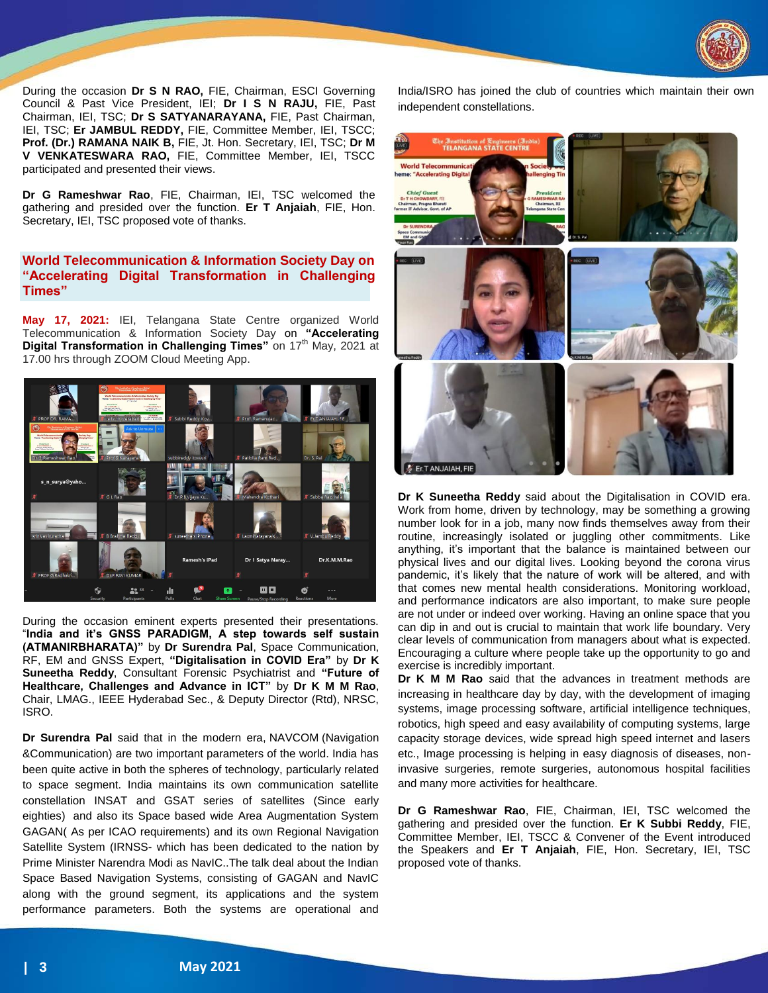

During the occasion **Dr S N RAO,** FIE, Chairman, ESCI Governing Council & Past Vice President, IEI; **Dr I S N RAJU,** FIE, Past Chairman, IEI, TSC; **Dr S SATYANARAYANA,** FIE, Past Chairman, IEI, TSC; **Er JAMBUL REDDY,** FIE, Committee Member, IEI, TSCC; **Prof. (Dr.) RAMANA NAIK B,** FIE, Jt. Hon. Secretary, IEI, TSC; **Dr M V VENKATESWARA RAO,** FIE, Committee Member, IEI, TSCC participated and presented their views.

**Dr G Rameshwar Rao**, FIE, Chairman, IEI, TSC welcomed the gathering and presided over the function. **Er T Anjaiah**, FIE, Hon. Secretary, IEI, TSC proposed vote of thanks.

## **World Telecommunication & Information Society Day on "Accelerating Digital Transformation in Challenging Times"**

**May 17, 2021:** IEI, Telangana State Centre organized World Telecommunication & Information Society Day on **"Accelerating Digital Transformation in Challenging Times"** on 17<sup>th</sup> May, 2021 at 17.00 hrs through ZOOM Cloud Meeting App.



During the occasion eminent experts presented their presentations. "**India and it's GNSS PARADIGM, A step towards self sustain (ATMANIRBHARATA)"** by **Dr Surendra Pal**, Space Communication, RF, EM and GNSS Expert, **"Digitalisation in COVID Era"** by **Dr K Suneetha Reddy**, Consultant Forensic Psychiatrist and **"Future of Healthcare, Challenges and Advance in ICT"** by **Dr K M M Rao**, Chair, LMAG., IEEE Hyderabad Sec., & Deputy Director (Rtd), NRSC, ISRO.

**Dr Surendra Pal** said that in the modern era, NAVCOM (Navigation &Communication) are two important parameters of the world. India has been quite active in both the spheres of technology, particularly related to space segment. India maintains its own communication satellite constellation INSAT and GSAT series of satellites (Since early eighties) and also its Space based wide Area Augmentation System GAGAN( As per ICAO requirements) and its own Regional Navigation Satellite System (IRNSS- which has been dedicated to the nation by Prime Minister Narendra Modi as NavIC..The talk deal about the Indian Space Based Navigation Systems, consisting of GAGAN and NavIC along with the ground segment, its applications and the system performance parameters. Both the systems are operational and

India/ISRO has joined the club of countries which maintain their own independent constellations.



**Dr K Suneetha Reddy** said about the Digitalisation in COVID era. Work from home, driven by technology, may be something a growing number look for in a job, many now finds themselves away from their routine, increasingly isolated or juggling other commitments. Like anything, it's important that the balance is maintained between our physical lives and our digital lives. Looking beyond the corona virus pandemic, it's likely that the nature of work will be altered, and with that comes new mental health considerations. Monitoring workload, and performance indicators are also important, to make sure people are not under or indeed over working. Having an online space that you can dip in and out is crucial to maintain that work life boundary. Very clear levels of communication from managers about what is expected. Encouraging a culture where people take up the opportunity to go and exercise is incredibly important.

**Dr K M M Rao** said that the advances in treatment methods are increasing in healthcare day by day, with the development of imaging systems, image processing software, artificial intelligence techniques, robotics, high speed and easy availability of computing systems, large capacity storage devices, wide spread high speed internet and lasers etc., Image processing is helping in easy diagnosis of diseases, noninvasive surgeries, remote surgeries, autonomous hospital facilities and many more activities for healthcare.

**Dr G Rameshwar Rao**, FIE, Chairman, IEI, TSC welcomed the gathering and presided over the function. **Er K Subbi Reddy**, FIE, Committee Member, IEI, TSCC & Convener of the Event introduced the Speakers and **Er T Anjaiah**, FIE, Hon. Secretary, IEI, TSC proposed vote of thanks.